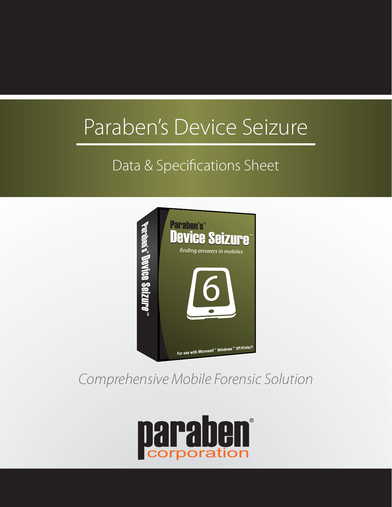# Paraben's Device Seizure

# Data & Specifications Sheet



# *Comprehensive Mobile Forensic Solution*

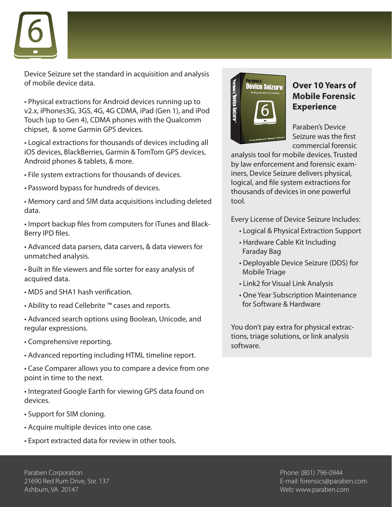

Device Seizure set the standard in acquisition and analysis of mobile device data.

• Physical extractions for Android devices running up to v2.x, iPhones3G, 3GS, 4G, 4G CDMA, iPad (Gen 1), and iPod Touch (up to Gen 4), CDMA phones with the Qualcomm chipset, & some Garmin GPS devices.

• Logical extractions for thousands of devices including all iOS devices, BlackBerries, Garmin & TomTom GPS devices, Android phones & tablets, & more.

- File system extractions for thousands of devices.
- Password bypass for hundreds of devices.
- Memory card and SIM data acquisitions including deleted data.

• Import backup files from computers for iTunes and Black-Berry IPD files.

- Advanced data parsers, data carvers, & data viewers for unmatched analysis.
- Built in file viewers and file sorter for easy analysis of acquired data.
- MD5 and SHA1 hash verification.
- Ability to read Cellebrite ™ cases and reports.
- Advanced search options using Boolean, Unicode, and regular expressions.
- Comprehensive reporting.
- Advanced reporting including HTML timeline report.

• Case Comparer allows you to compare a device from one point in time to the next.

• Integrated Google Earth for viewing GPS data found on devices.

- Support for SIM cloning.
- Acquire multiple devices into one case.
- Export extracted data for review in other tools.



#### **Over 10 Years of Mobile Forensic Experience**

Paraben's Device Seizure was the first commercial forensic

analysis tool for mobile devices. Trusted by law enforcement and forensic examiners, Device Seizure delivers physical, logical, and file system extractions for thousands of devices in one powerful tool.

Every License of Device Seizure Includes:

- Logical & Physical Extraction Support
- Hardware Cable Kit Including Faraday Bag
- Deployable Device Seizure (DDS) for Mobile Triage
- Link2 for Visual Link Analysis
- One Year Subscription Maintenance for Software & Hardware

You don't pay extra for physical extractions, triage solutions, or link analysis software.

Paraben Corporation 21690 Red Rum Drive, Ste. 137 Ashburn, VA 20147

Phone: (801) 796-0944 E-mail: forensics@paraben.com Web: www.paraben.com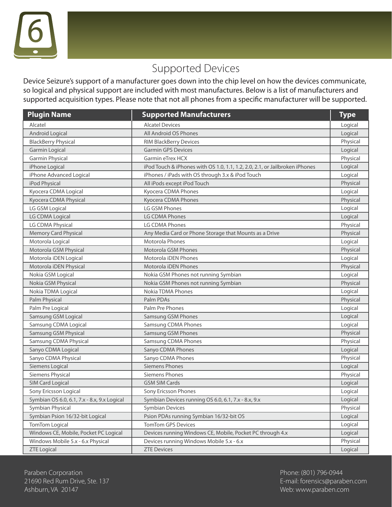

## Supported Devices

Device Seizure's support of a manufacturer goes down into the chip level on how the devices communicate, so logical and physical support are included with most manufactures. Below is a list of manufacturers and supported acquisition types. Please note that not all phones from a specific manufacturer will be supported.

| <b>Plugin Name</b>                          | <b>Supported Manufacturers</b>                                              | <b>Type</b> |
|---------------------------------------------|-----------------------------------------------------------------------------|-------------|
| Alcatel                                     | <b>Alcatel Devices</b>                                                      | Logical     |
| Android Logical                             | All Android OS Phones                                                       | Logical     |
| <b>BlackBerry Physical</b>                  | RIM BlackBerry Devices                                                      | Physical    |
| Garmin Logical                              | <b>Garmin GPS Devices</b>                                                   | Logical     |
| <b>Garmin Physical</b>                      | Garmin eTrex HCX                                                            | Physical    |
| iPhone Logical                              | iPod Touch & iPhones with OS 1.0, 1.1, 1.2, 2.0, 2.1, or Jailbroken iPhones | Logical     |
| iPhone Advanced Logical                     | iPhones / iPads with OS through 3.x & iPod Touch                            | Logical     |
| iPod Physical                               | All iPods except iPod Touch                                                 | Physical    |
| Kyocera CDMA Logical                        | Kyocera CDMA Phones                                                         | Logical     |
| Kyocera CDMA Physical                       | Kyocera CDMA Phones                                                         | Physical    |
| LG GSM Logical                              | LG GSM Phones                                                               | Logical     |
| LG CDMA Logical                             | LG CDMA Phones                                                              | Logical     |
| LG CDMA Physical                            | LG CDMA Phones                                                              | Physical    |
| <b>Memory Card Physical</b>                 | Any Media Card or Phone Storage that Mounts as a Drive                      | Physical    |
| Motorola Logical                            | Motorola Phones                                                             | Logical     |
| Motorola GSM Physical                       | <b>Motorola GSM Phones</b>                                                  | Physical    |
| Motorola iDEN Logical                       | Motorola iDEN Phones                                                        | Logical     |
| Motorola iDEN Physical                      | Motorola iDEN Phones                                                        | Physical    |
| Nokia GSM Logical                           | Nokia GSM Phones not running Symbian                                        | Logical     |
| Nokia GSM Physical                          | Nokia GSM Phones not running Symbian                                        | Physical    |
| Nokia TDMA Logical                          | Nokia TDMA Phones                                                           | Logical     |
| Palm Physical                               | Palm PDAs                                                                   | Physical    |
| Palm Pre Logical                            | Palm Pre Phones                                                             | Logical     |
| Samsung GSM Logical                         | Samsung GSM Phones                                                          | Logical     |
| Samsung CDMA Logical                        | Samsung CDMA Phones                                                         | Logical     |
| Samsung GSM Physical                        | Samsung GSM Phones                                                          | Physical    |
| Samsung CDMA Physical                       | Samsung CDMA Phones                                                         | Physical    |
| Sanyo CDMA Logical                          | Sanyo CDMA Phones                                                           | Logical     |
| Sanyo CDMA Physical                         | Sanyo CDMA Phones                                                           | Physical    |
| Siemens Logical                             | <b>Siemens Phones</b>                                                       | Logical     |
| Siemens Physical                            | <b>Siemens Phones</b>                                                       | Physical    |
| <b>SIM Card Logical</b>                     | <b>GSM SIM Cards</b>                                                        | Logical     |
| Sony Ericsson Logical                       | Sony Ericsson Phones                                                        | Logical     |
| Symbian OS 6.0, 6.1, 7.x - 8.x, 9.x Logical | Symbian Devices running OS 6.0, 6.1, 7.x - 8.x, 9.x                         | Logical     |
| Symbian Physical                            | <b>Symbian Devices</b>                                                      | Physical    |
| Symbian Psion 16/32-bit Logical             | Psion PDAs running Symbian 16/32-bit OS                                     | Logical     |
| TomTom Logical                              | <b>TomTom GPS Devices</b>                                                   | Logical     |
| Windows CE, Mobile, Pocket PC Logical       | Devices running Windows CE, Mobile, Pocket PC through 4.x                   | Logical     |
| Windows Mobile 5.x - 6.x Physical           | Devices running Windows Mobile 5.x - 6.x                                    | Physical    |
| <b>ZTE Logical</b>                          | <b>ZTE Devices</b>                                                          | Logical     |